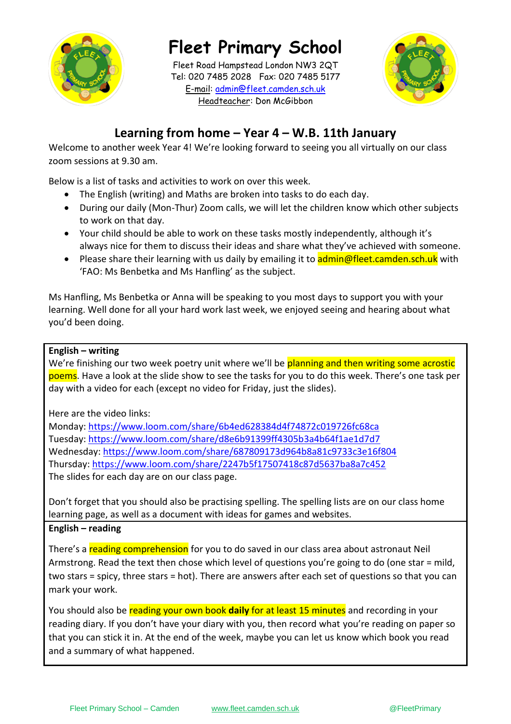

**Fleet Primary School**

**\_\_\_\_\_\_\_\_\_\_\_\_\_\_\_\_\_\_\_\_\_\_\_\_\_\_\_\_\_** Headteacher: Don McGibbon Fleet Road Hampstead London NW3 2QT Tel: 020 7485 2028 Fax: 020 7485 5177 E-mail: [admin@fleet.camden.sch.uk](mailto:admin@fleet.camden.sch.uk)



# **Learning from home – Year 4 – W.B. 11th January**

Welcome to another week Year 4! We're looking forward to seeing you all virtually on our class zoom sessions at 9.30 am.

Below is a list of tasks and activities to work on over this week.

- The English (writing) and Maths are broken into tasks to do each day.
- During our daily (Mon-Thur) Zoom calls, we will let the children know which other subjects to work on that day.
- Your child should be able to work on these tasks mostly independently, although it's always nice for them to discuss their ideas and share what they've achieved with someone.
- Please share their learning with us daily by emailing it to **admin@fleet.camden.sch.uk** with 'FAO: Ms Benbetka and Ms Hanfling' as the subject.

Ms Hanfling, Ms Benbetka or Anna will be speaking to you most days to support you with your learning. Well done for all your hard work last week, we enjoyed seeing and hearing about what you'd been doing.

## **English – writing**

We're finishing our two week poetry unit where we'll be planning and then writing some acrostic poems. Have a look at the slide show to see the tasks for you to do this week. There's one task per day with a video for each (except no video for Friday, just the slides).

Here are the video links:

Monday:<https://www.loom.com/share/6b4ed628384d4f74872c019726fc68ca> Tuesday:<https://www.loom.com/share/d8e6b91399ff4305b3a4b64f1ae1d7d7> Wednesday:<https://www.loom.com/share/687809173d964b8a81c9733c3e16f804> Thursday:<https://www.loom.com/share/2247b5f17507418c87d5637ba8a7c452> The slides for each day are on our class page.

Don't forget that you should also be practising spelling. The spelling lists are on our class home learning page, as well as a document with ideas for games and websites.

## **English – reading**

There's a reading comprehension for you to do saved in our class area about astronaut Neil Armstrong. Read the text then chose which level of questions you're going to do (one star = mild, two stars = spicy, three stars = hot). There are answers after each set of questions so that you can mark your work.

You should also be reading your own book **daily** for at least 15 minutes and recording in your reading diary. If you don't have your diary with you, then record what you're reading on paper so that you can stick it in. At the end of the week, maybe you can let us know which book you read and a summary of what happened.